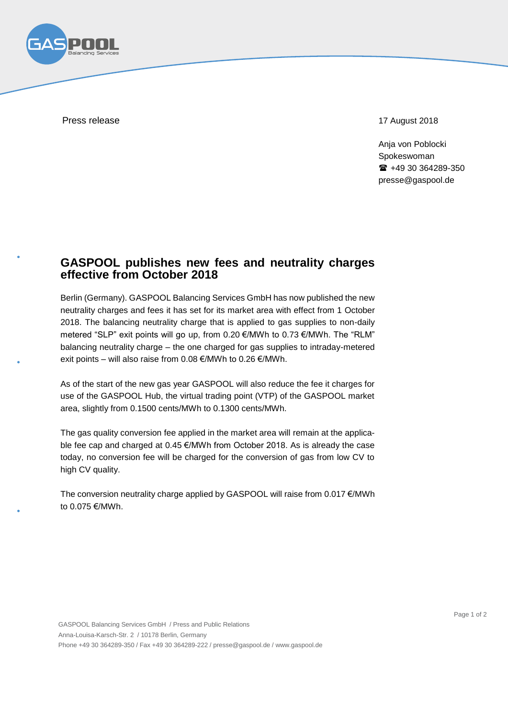

Press release 17 August 2018

Anja von Poblocki Spokeswoman ■ +49 30 364289-350 presse@gaspool.de

## **GASPOOL publishes new fees and neutrality charges effective from October 2018**

Berlin (Germany). GASPOOL Balancing Services GmbH has now published the new neutrality charges and fees it has set for its market area with effect from 1 October 2018. The balancing neutrality charge that is applied to gas supplies to non-daily metered "SLP" exit points will go up, from 0.20 €/MWh to 0.73 €/MWh. The "RLM" balancing neutrality charge – the one charged for gas supplies to intraday-metered exit points – will also raise from 0.08 €/MWh to 0.26 €/MWh.

As of the start of the new gas year GASPOOL will also reduce the fee it charges for use of the GASPOOL Hub, the virtual trading point (VTP) of the GASPOOL market area, slightly from 0.1500 cents/MWh to 0.1300 cents/MWh.

The gas quality conversion fee applied in the market area will remain at the applicable fee cap and charged at 0.45 €/MWh from October 2018. As is already the case today, no conversion fee will be charged for the conversion of gas from low CV to high CV quality.

The conversion neutrality charge applied by GASPOOL will raise from 0.017 €/MWh to 0.075 €/MWh.